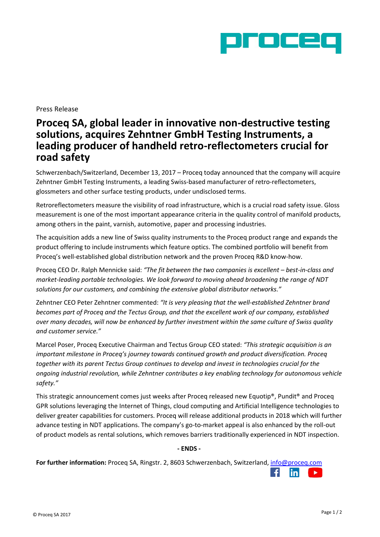

## Press Release

# **Proceq SA, global leader in innovative non-destructive testing solutions, acquires Zehntner GmbH Testing Instruments, a leading producer of handheld retro-reflectometers crucial for road safety**

Schwerzenbach/Switzerland, December 13, 2017 – Proceq today announced that the company will acquire Zehntner GmbH Testing Instruments, a leading Swiss-based manufacturer of retro-reflectometers, glossmeters and other surface testing products, under undisclosed terms.

Retroreflectometers measure the visibility of road infrastructure, which is a crucial road safety issue. Gloss measurement is one of the most important appearance criteria in the quality control of manifold products, among others in the paint, varnish, automotive, paper and processing industries.

The acquisition adds a new line of Swiss quality instruments to the Proceq product range and expands the product offering to include instruments which feature optics. The combined portfolio will benefit from Proceq's well-established global distribution network and the proven Proceq R&D know-how.

Proceq CEO Dr. Ralph Mennicke said: "The fit between the two companies is excellent – best-in-class and *market-leading portable technologies. We look forward to moving ahead broadening the range of NDT solutions for our customers, and combining the extensive global distributor networks."*

Zehntner CEO Peter Zehntner commented: *"It is very pleasing that the well-established Zehntner brand becomes part of Proceq and the Tectus Group, and that the excellent work of our company, established over many decades, will now be enhanced by further investment within the same culture of Swiss quality and customer service."*

Marcel Poser, Proceq Executive Chairman and Tectus Group CEO stated: *"This strategic acquisition is an important milestone in Proceq's journey towards continued growth and product diversification. Proceq together with its parent Tectus Group continues to develop and invest in technologies crucial for the ongoing industrial revolution, while Zehntner contributes a key enabling technology for autonomous vehicle safety."*

This strategic announcement comes just weeks after Proceq released new Equotip®, Pundit® and Proceq GPR solutions leveraging the Internet of Things, cloud computing and Artificial Intelligence technologies to deliver greater capabilities for customers. Proceq will release additional products in 2018 which will further advance testing in NDT applications. The company's go-to-market appeal is also enhanced by the roll-out of product models as rental solutions, which removes barriers traditionally experienced in NDT inspection.

### **- ENDS -**

**For further information:** Proceq SA, Ringstr. 2, 8603 Schwerzenbach, Switzerland, [info@proceq.com](mailto:info@proceq.com)